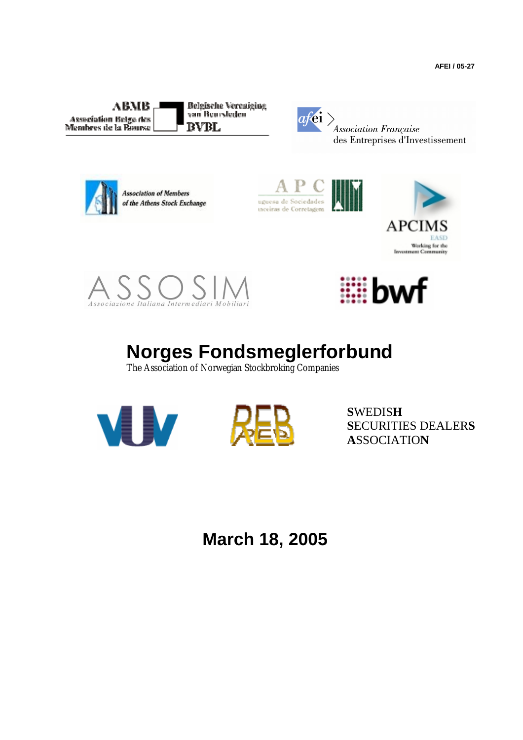**AFEI / 05-27** 

 $ABMB$ **Association Belge des** Membres de la Bourse

**Belgische Vereniging** van Beursleden **BVBL** 



Association Française des Entreprises d'Investissement



**Association of Members** of the Athens Stock Exchange









# **Norges Fondsmeglerforbund**

The Association of Norwegian Stockbroking Companies





**S**WEDIS**H S**ECURITIES DEALER**S A**SSOCIATIO**N** 

**March 18, 2005**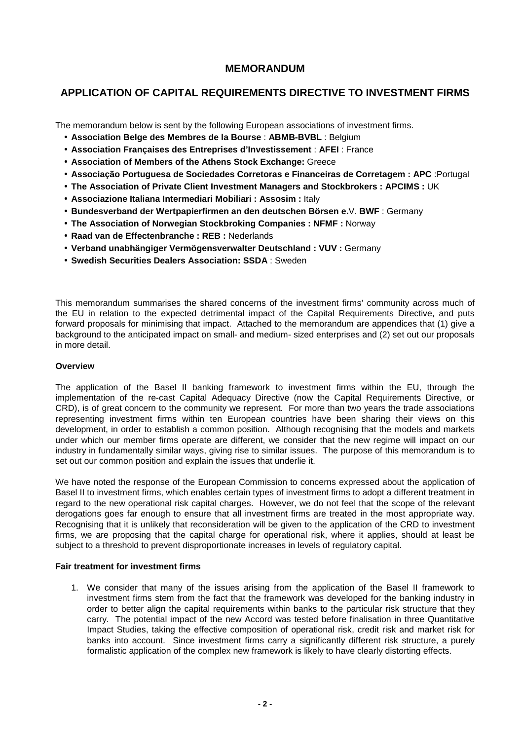## **MEMORANDUM**

# **APPLICATION OF CAPITAL REQUIREMENTS DIRECTIVE TO INVESTMENT FIRMS**

The memorandum below is sent by the following European associations of investment firms.

- **Association Belge des Membres de la Bourse** : **ABMB-BVBL** : Belgium
- **Association Françaises des Entreprises d'Investissement** : **AFEI** : France
- **Association of Members of the Athens Stock Exchange:** Greece
- **Associação Portuguesa de Sociedades Corretoras e Financeiras de Corretagem : APC** :Portugal
- **The Association of Private Client Investment Managers and Stockbrokers : APCIMS :** UK
- **Associazione Italiana Intermediari Mobiliari : Assosim :** Italy
- **Bundesverband der Wertpapierfirmen an den deutschen Börsen e.**V. **BWF** : Germany
- **The Association of Norwegian Stockbroking Companies : NFMF :** Norway
- **Raad van de Effectenbranche : REB :** Nederlands
- **Verband unabhängiger Vermögensverwalter Deutschland : VUV :** Germany
- **Swedish Securities Dealers Association: SSDA** : Sweden

This memorandum summarises the shared concerns of the investment firms' community across much of the EU in relation to the expected detrimental impact of the Capital Requirements Directive, and puts forward proposals for minimising that impact. Attached to the memorandum are appendices that (1) give a background to the anticipated impact on small- and medium- sized enterprises and (2) set out our proposals in more detail.

### **Overview**

The application of the Basel II banking framework to investment firms within the EU, through the implementation of the re-cast Capital Adequacy Directive (now the Capital Requirements Directive, or CRD), is of great concern to the community we represent. For more than two years the trade associations representing investment firms within ten European countries have been sharing their views on this development, in order to establish a common position. Although recognising that the models and markets under which our member firms operate are different, we consider that the new regime will impact on our industry in fundamentally similar ways, giving rise to similar issues. The purpose of this memorandum is to set out our common position and explain the issues that underlie it.

We have noted the response of the European Commission to concerns expressed about the application of Basel II to investment firms, which enables certain types of investment firms to adopt a different treatment in regard to the new operational risk capital charges. However, we do not feel that the scope of the relevant derogations goes far enough to ensure that all investment firms are treated in the most appropriate way. Recognising that it is unlikely that reconsideration will be given to the application of the CRD to investment firms, we are proposing that the capital charge for operational risk, where it applies, should at least be subject to a threshold to prevent disproportionate increases in levels of regulatory capital.

#### **Fair treatment for investment firms**

1. We consider that many of the issues arising from the application of the Basel II framework to investment firms stem from the fact that the framework was developed for the banking industry in order to better align the capital requirements within banks to the particular risk structure that they carry. The potential impact of the new Accord was tested before finalisation in three Quantitative Impact Studies, taking the effective composition of operational risk, credit risk and market risk for banks into account. Since investment firms carry a significantly different risk structure, a purely formalistic application of the complex new framework is likely to have clearly distorting effects.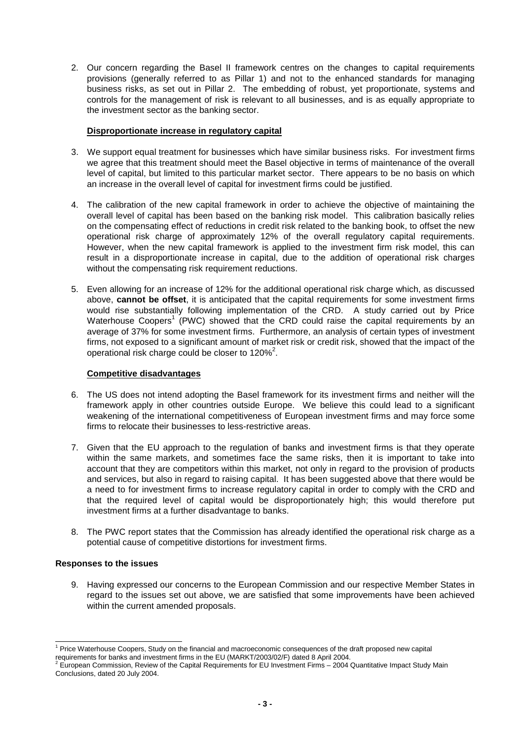2. Our concern regarding the Basel II framework centres on the changes to capital requirements provisions (generally referred to as Pillar 1) and not to the enhanced standards for managing business risks, as set out in Pillar 2. The embedding of robust, yet proportionate, systems and controls for the management of risk is relevant to all businesses, and is as equally appropriate to the investment sector as the banking sector.

## **Disproportionate increase in regulatory capital**

- 3. We support equal treatment for businesses which have similar business risks. For investment firms we agree that this treatment should meet the Basel objective in terms of maintenance of the overall level of capital, but limited to this particular market sector. There appears to be no basis on which an increase in the overall level of capital for investment firms could be justified.
- 4. The calibration of the new capital framework in order to achieve the objective of maintaining the overall level of capital has been based on the banking risk model. This calibration basically relies on the compensating effect of reductions in credit risk related to the banking book, to offset the new operational risk charge of approximately 12% of the overall regulatory capital requirements. However, when the new capital framework is applied to the investment firm risk model, this can result in a disproportionate increase in capital, due to the addition of operational risk charges without the compensating risk requirement reductions.
- 5. Even allowing for an increase of 12% for the additional operational risk charge which, as discussed above, **cannot be offset**, it is anticipated that the capital requirements for some investment firms would rise substantially following implementation of the CRD. A study carried out by Price Waterhouse Coopers<sup>1</sup> (PWC) showed that the CRD could raise the capital requirements by an average of 37% for some investment firms. Furthermore, an analysis of certain types of investment firms, not exposed to a significant amount of market risk or credit risk, showed that the impact of the operational risk charge could be closer to  $120\%^2$ .

## **Competitive disadvantages**

- 6. The US does not intend adopting the Basel framework for its investment firms and neither will the framework apply in other countries outside Europe. We believe this could lead to a significant weakening of the international competitiveness of European investment firms and may force some firms to relocate their businesses to less-restrictive areas.
- 7. Given that the EU approach to the regulation of banks and investment firms is that they operate within the same markets, and sometimes face the same risks, then it is important to take into account that they are competitors within this market, not only in regard to the provision of products and services, but also in regard to raising capital. It has been suggested above that there would be a need to for investment firms to increase regulatory capital in order to comply with the CRD and that the required level of capital would be disproportionately high; this would therefore put investment firms at a further disadvantage to banks.
- 8. The PWC report states that the Commission has already identified the operational risk charge as a potential cause of competitive distortions for investment firms.

#### **Responses to the issues**

l

9. Having expressed our concerns to the European Commission and our respective Member States in regard to the issues set out above, we are satisfied that some improvements have been achieved within the current amended proposals.

<sup>&</sup>lt;sup>1</sup> Price Waterhouse Coopers, Study on the financial and macroeconomic consequences of the draft proposed new capital requirements for banks and investment firms in the EU (MARKT/2003/02/F) dated 8 April 2004.<br><sup>2</sup> European Commission, Boujou of the Conital Bequirements for EU Investment Firms , 2004.0

European Commission, Review of the Capital Requirements for EU Investment Firms – 2004 Quantitative Impact Study Main Conclusions, dated 20 July 2004.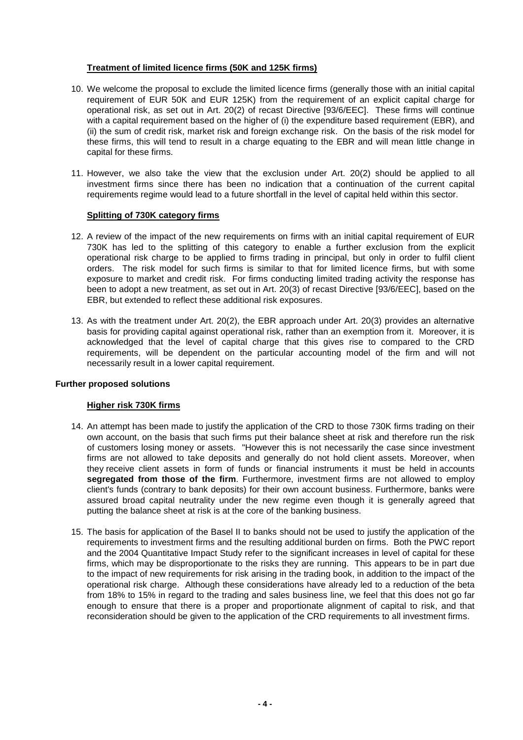## **Treatment of limited licence firms (50K and 125K firms)**

- 10. We welcome the proposal to exclude the limited licence firms (generally those with an initial capital requirement of EUR 50K and EUR 125K) from the requirement of an explicit capital charge for operational risk, as set out in Art. 20(2) of recast Directive [93/6/EEC]. These firms will continue with a capital requirement based on the higher of (i) the expenditure based requirement (EBR), and (ii) the sum of credit risk, market risk and foreign exchange risk. On the basis of the risk model for these firms, this will tend to result in a charge equating to the EBR and will mean little change in capital for these firms.
- 11. However, we also take the view that the exclusion under Art. 20(2) should be applied to all investment firms since there has been no indication that a continuation of the current capital requirements regime would lead to a future shortfall in the level of capital held within this sector.

## **Splitting of 730K category firms**

- 12. A review of the impact of the new requirements on firms with an initial capital requirement of EUR 730K has led to the splitting of this category to enable a further exclusion from the explicit operational risk charge to be applied to firms trading in principal, but only in order to fulfil client orders. The risk model for such firms is similar to that for limited licence firms, but with some exposure to market and credit risk. For firms conducting limited trading activity the response has been to adopt a new treatment, as set out in Art. 20(3) of recast Directive [93/6/EEC], based on the EBR, but extended to reflect these additional risk exposures.
- 13. As with the treatment under Art. 20(2), the EBR approach under Art. 20(3) provides an alternative basis for providing capital against operational risk, rather than an exemption from it. Moreover, it is acknowledged that the level of capital charge that this gives rise to compared to the CRD requirements, will be dependent on the particular accounting model of the firm and will not necessarily result in a lower capital requirement.

## **Further proposed solutions**

## **Higher risk 730K firms**

- 14. An attempt has been made to justify the application of the CRD to those 730K firms trading on their own account, on the basis that such firms put their balance sheet at risk and therefore run the risk of customers losing money or assets. "However this is not necessarily the case since investment firms are not allowed to take deposits and generally do not hold client assets. Moreover, when they receive client assets in form of funds or financial instruments it must be held in accounts **segregated from those of the firm**. Furthermore, investment firms are not allowed to employ client's funds (contrary to bank deposits) for their own account business. Furthermore, banks were assured broad capital neutrality under the new regime even though it is generally agreed that putting the balance sheet at risk is at the core of the banking business.
- 15. The basis for application of the Basel II to banks should not be used to justify the application of the requirements to investment firms and the resulting additional burden on firms. Both the PWC report and the 2004 Quantitative Impact Study refer to the significant increases in level of capital for these firms, which may be disproportionate to the risks they are running. This appears to be in part due to the impact of new requirements for risk arising in the trading book, in addition to the impact of the operational risk charge. Although these considerations have already led to a reduction of the beta from 18% to 15% in regard to the trading and sales business line, we feel that this does not go far enough to ensure that there is a proper and proportionate alignment of capital to risk, and that reconsideration should be given to the application of the CRD requirements to all investment firms.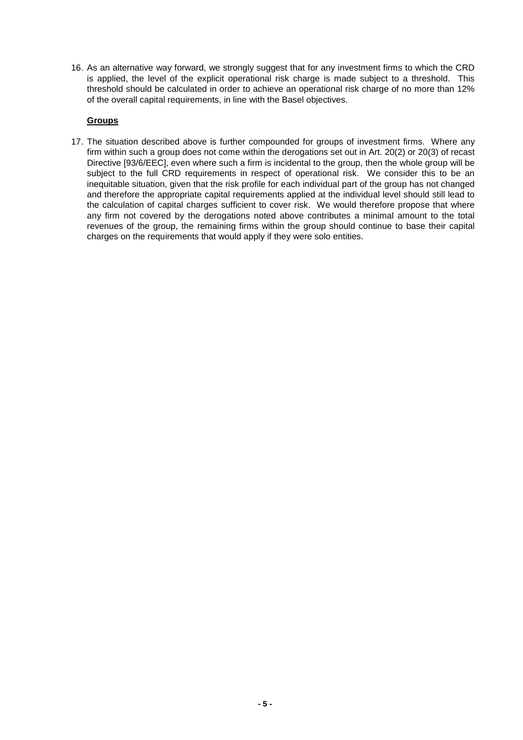16. As an alternative way forward, we strongly suggest that for any investment firms to which the CRD is applied, the level of the explicit operational risk charge is made subject to a threshold. This threshold should be calculated in order to achieve an operational risk charge of no more than 12% of the overall capital requirements, in line with the Basel objectives.

## **Groups**

17. The situation described above is further compounded for groups of investment firms. Where any firm within such a group does not come within the derogations set out in Art. 20(2) or 20(3) of recast Directive [93/6/EEC], even where such a firm is incidental to the group, then the whole group will be subject to the full CRD requirements in respect of operational risk. We consider this to be an inequitable situation, given that the risk profile for each individual part of the group has not changed and therefore the appropriate capital requirements applied at the individual level should still lead to the calculation of capital charges sufficient to cover risk. We would therefore propose that where any firm not covered by the derogations noted above contributes a minimal amount to the total revenues of the group, the remaining firms within the group should continue to base their capital charges on the requirements that would apply if they were solo entities.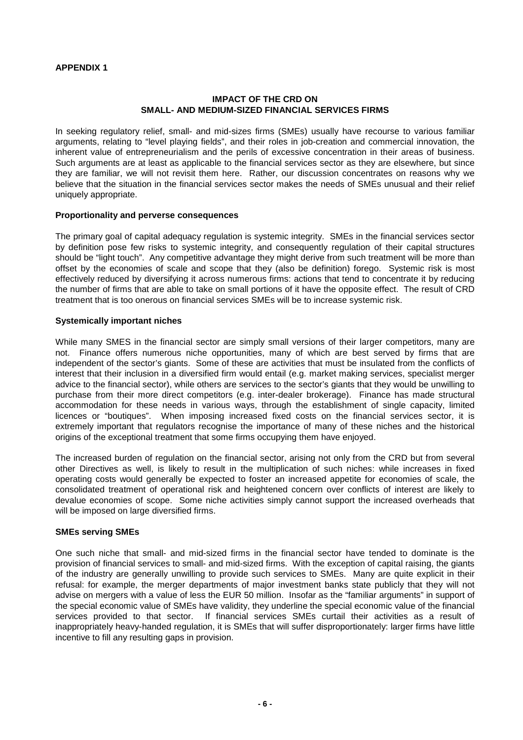## **APPENDIX 1**

## **IMPACT OF THE CRD ON SMALL- AND MEDIUM-SIZED FINANCIAL SERVICES FIRMS**

In seeking regulatory relief, small- and mid-sizes firms (SMEs) usually have recourse to various familiar arguments, relating to "level playing fields", and their roles in job-creation and commercial innovation, the inherent value of entrepreneurialism and the perils of excessive concentration in their areas of business. Such arguments are at least as applicable to the financial services sector as they are elsewhere, but since they are familiar, we will not revisit them here. Rather, our discussion concentrates on reasons why we believe that the situation in the financial services sector makes the needs of SMEs unusual and their relief uniquely appropriate.

## **Proportionality and perverse consequences**

The primary goal of capital adequacy regulation is systemic integrity. SMEs in the financial services sector by definition pose few risks to systemic integrity, and consequently regulation of their capital structures should be "light touch". Any competitive advantage they might derive from such treatment will be more than offset by the economies of scale and scope that they (also be definition) forego. Systemic risk is most effectively reduced by diversifying it across numerous firms: actions that tend to concentrate it by reducing the number of firms that are able to take on small portions of it have the opposite effect. The result of CRD treatment that is too onerous on financial services SMEs will be to increase systemic risk.

### **Systemically important niches**

While many SMES in the financial sector are simply small versions of their larger competitors, many are not. Finance offers numerous niche opportunities, many of which are best served by firms that are independent of the sector's giants. Some of these are activities that must be insulated from the conflicts of interest that their inclusion in a diversified firm would entail (e.g. market making services, specialist merger advice to the financial sector), while others are services to the sector's giants that they would be unwilling to purchase from their more direct competitors (e.g. inter-dealer brokerage). Finance has made structural accommodation for these needs in various ways, through the establishment of single capacity, limited licences or "boutiques". When imposing increased fixed costs on the financial services sector, it is extremely important that regulators recognise the importance of many of these niches and the historical origins of the exceptional treatment that some firms occupying them have enjoyed.

The increased burden of regulation on the financial sector, arising not only from the CRD but from several other Directives as well, is likely to result in the multiplication of such niches: while increases in fixed operating costs would generally be expected to foster an increased appetite for economies of scale, the consolidated treatment of operational risk and heightened concern over conflicts of interest are likely to devalue economies of scope. Some niche activities simply cannot support the increased overheads that will be imposed on large diversified firms.

#### **SMEs serving SMEs**

One such niche that small- and mid-sized firms in the financial sector have tended to dominate is the provision of financial services to small- and mid-sized firms. With the exception of capital raising, the giants of the industry are generally unwilling to provide such services to SMEs. Many are quite explicit in their refusal: for example, the merger departments of major investment banks state publicly that they will not advise on mergers with a value of less the EUR 50 million. Insofar as the "familiar arguments" in support of the special economic value of SMEs have validity, they underline the special economic value of the financial services provided to that sector. If financial services SMEs curtail their activities as a result of inappropriately heavy-handed regulation, it is SMEs that will suffer disproportionately: larger firms have little incentive to fill any resulting gaps in provision.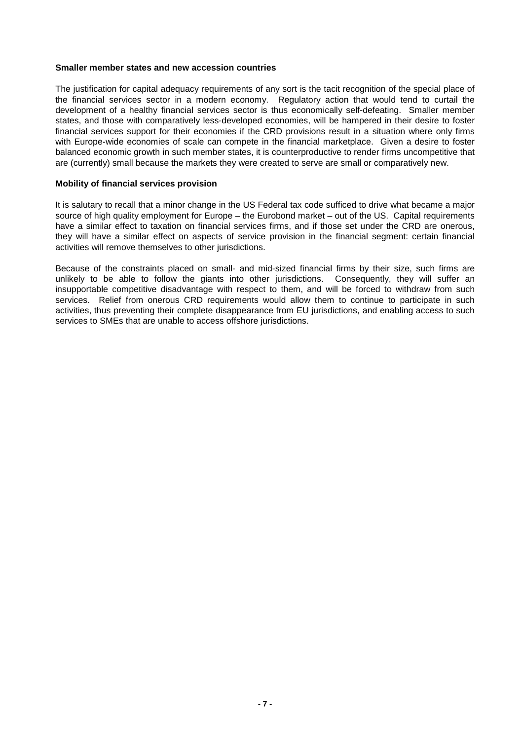#### **Smaller member states and new accession countries**

The justification for capital adequacy requirements of any sort is the tacit recognition of the special place of the financial services sector in a modern economy. Regulatory action that would tend to curtail the development of a healthy financial services sector is thus economically self-defeating. Smaller member states, and those with comparatively less-developed economies, will be hampered in their desire to foster financial services support for their economies if the CRD provisions result in a situation where only firms with Europe-wide economies of scale can compete in the financial marketplace. Given a desire to foster balanced economic growth in such member states, it is counterproductive to render firms uncompetitive that are (currently) small because the markets they were created to serve are small or comparatively new.

### **Mobility of financial services provision**

It is salutary to recall that a minor change in the US Federal tax code sufficed to drive what became a major source of high quality employment for Europe – the Eurobond market – out of the US. Capital requirements have a similar effect to taxation on financial services firms, and if those set under the CRD are onerous, they will have a similar effect on aspects of service provision in the financial segment: certain financial activities will remove themselves to other jurisdictions.

Because of the constraints placed on small- and mid-sized financial firms by their size, such firms are unlikely to be able to follow the giants into other jurisdictions. Consequently, they will suffer an insupportable competitive disadvantage with respect to them, and will be forced to withdraw from such services. Relief from onerous CRD requirements would allow them to continue to participate in such activities, thus preventing their complete disappearance from EU jurisdictions, and enabling access to such services to SMEs that are unable to access offshore jurisdictions.